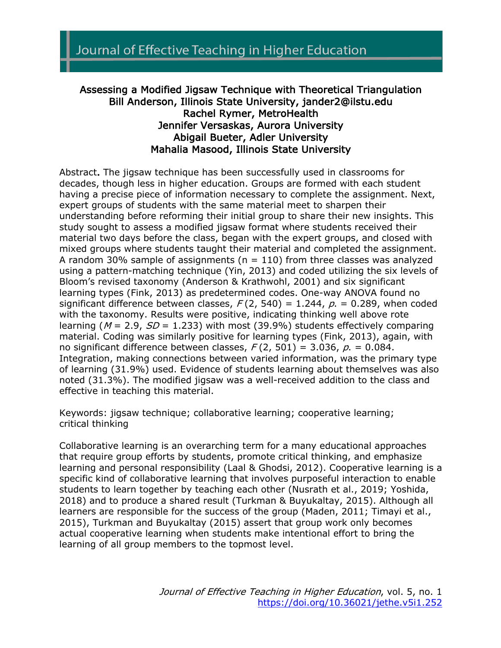## Assessing a Modified Jigsaw Technique with Theoretical Triangulation Bill Anderson, Illinois State University, jander2@ilstu.edu Rachel Rymer, MetroHealth Jennifer Versaskas, Aurora University Abigail Bueter, Adler University Mahalia Masood, Illinois State University

Abstract. The jigsaw technique has been successfully used in classrooms for decades, though less in higher education. Groups are formed with each student having a precise piece of information necessary to complete the assignment. Next, expert groups of students with the same material meet to sharpen their understanding before reforming their initial group to share their new insights. This study sought to assess a modified jigsaw format where students received their material two days before the class, began with the expert groups, and closed with mixed groups where students taught their material and completed the assignment. A random 30% sample of assignments ( $n = 110$ ) from three classes was analyzed using a pattern-matching technique (Yin, 2013) and coded utilizing the six levels of Bloom's revised taxonomy (Anderson & Krathwohl, 2001) and six significant learning types (Fink, 2013) as predetermined codes. One-way ANOVA found no significant difference between classes,  $F(2, 540) = 1.244$ ,  $p = 0.289$ , when coded with the taxonomy. Results were positive, indicating thinking well above rote learning ( $M = 2.9$ ,  $SD = 1.233$ ) with most (39.9%) students effectively comparing material. Coding was similarly positive for learning types (Fink, 2013), again, with no significant difference between classes,  $F(2, 501) = 3.036$ ,  $p = 0.084$ . Integration, making connections between varied information, was the primary type of learning (31.9%) used. Evidence of students learning about themselves was also noted (31.3%). The modified jigsaw was a well-received addition to the class and effective in teaching this material.

Keywords: jigsaw technique; collaborative learning; cooperative learning; critical thinking

Collaborative learning is an overarching term for a many educational approaches that require group efforts by students, promote critical thinking, and emphasize learning and personal responsibility (Laal & Ghodsi, 2012). Cooperative learning is a specific kind of collaborative learning that involves purposeful interaction to enable students to learn together by teaching each other (Nusrath et al., 2019; Yoshida, 2018) and to produce a shared result (Turkman & Buyukaltay, 2015). Although all learners are responsible for the success of the group (Maden, 2011; Timayi et al., 2015), Turkman and Buyukaltay (2015) assert that group work only becomes actual cooperative learning when students make intentional effort to bring the learning of all group members to the topmost level.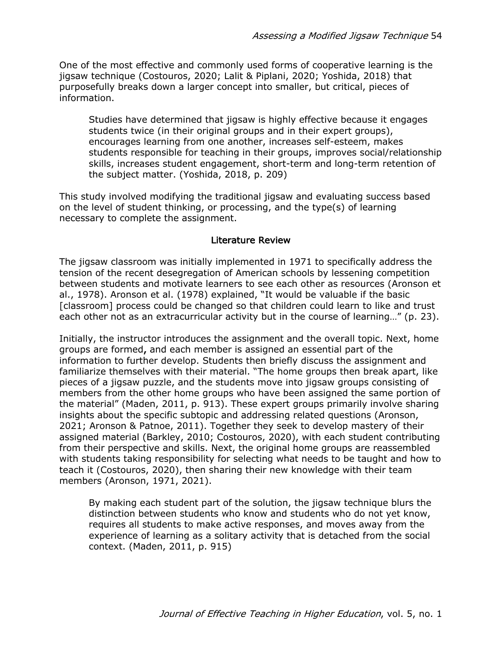One of the most effective and commonly used forms of cooperative learning is the jigsaw technique (Costouros, 2020; Lalit & Piplani, 2020; Yoshida, 2018) that purposefully breaks down a larger concept into smaller, but critical, pieces of information.

Studies have determined that jigsaw is highly effective because it engages students twice (in their original groups and in their expert groups), encourages learning from one another, increases self-esteem, makes students responsible for teaching in their groups, improves social/relationship skills, increases student engagement, short-term and long-term retention of the subject matter. (Yoshida, 2018, p. 209)

This study involved modifying the traditional jigsaw and evaluating success based on the level of student thinking, or processing, and the type(s) of learning necessary to complete the assignment.

### Literature Review

The jigsaw classroom was initially implemented in 1971 to specifically address the tension of the recent desegregation of American schools by lessening competition between students and motivate learners to see each other as resources (Aronson et al., 1978). Aronson et al. (1978) explained, "It would be valuable if the basic [classroom] process could be changed so that children could learn to like and trust each other not as an extracurricular activity but in the course of learning…" (p. 23).

Initially, the instructor introduces the assignment and the overall topic. Next, home groups are formed, and each member is assigned an essential part of the information to further develop. Students then briefly discuss the assignment and familiarize themselves with their material. "The home groups then break apart, like pieces of a jigsaw puzzle, and the students move into jigsaw groups consisting of members from the other home groups who have been assigned the same portion of the material" (Maden, 2011, p. 913). These expert groups primarily involve sharing insights about the specific subtopic and addressing related questions (Aronson, 2021; Aronson & Patnoe, 2011). Together they seek to develop mastery of their assigned material (Barkley, 2010; Costouros, 2020), with each student contributing from their perspective and skills. Next, the original home groups are reassembled with students taking responsibility for selecting what needs to be taught and how to teach it (Costouros, 2020), then sharing their new knowledge with their team members (Aronson, 1971, 2021).

By making each student part of the solution, the jigsaw technique blurs the distinction between students who know and students who do not yet know, requires all students to make active responses, and moves away from the experience of learning as a solitary activity that is detached from the social context. (Maden, 2011, p. 915)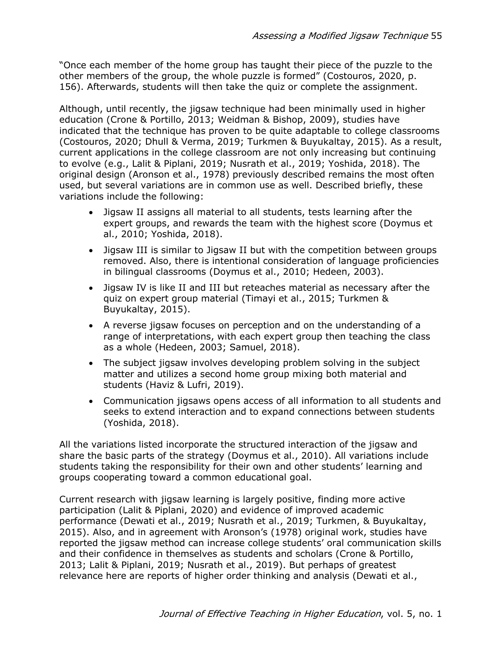"Once each member of the home group has taught their piece of the puzzle to the other members of the group, the whole puzzle is formed" (Costouros, 2020, p. 156). Afterwards, students will then take the quiz or complete the assignment.

Although, until recently, the jigsaw technique had been minimally used in higher education (Crone & Portillo, 2013; Weidman & Bishop, 2009), studies have indicated that the technique has proven to be quite adaptable to college classrooms (Costouros, 2020; Dhull & Verma, 2019; Turkmen & Buyukaltay, 2015). As a result, current applications in the college classroom are not only increasing but continuing to evolve (e.g., Lalit & Piplani, 2019; Nusrath et al., 2019; Yoshida, 2018). The original design (Aronson et al., 1978) previously described remains the most often used, but several variations are in common use as well. Described briefly, these variations include the following:

- Jigsaw II assigns all material to all students, tests learning after the expert groups, and rewards the team with the highest score (Doymus et al., 2010; Yoshida, 2018).
- Jigsaw III is similar to Jigsaw II but with the competition between groups removed. Also, there is intentional consideration of language proficiencies in bilingual classrooms (Doymus et al., 2010; Hedeen, 2003).
- Jigsaw IV is like II and III but reteaches material as necessary after the quiz on expert group material (Timayi et al., 2015; Turkmen & Buyukaltay, 2015).
- A reverse jigsaw focuses on perception and on the understanding of a range of interpretations, with each expert group then teaching the class as a whole (Hedeen, 2003; Samuel, 2018).
- The subject jigsaw involves developing problem solving in the subject matter and utilizes a second home group mixing both material and students (Haviz & Lufri, 2019).
- Communication jigsaws opens access of all information to all students and seeks to extend interaction and to expand connections between students (Yoshida, 2018).

All the variations listed incorporate the structured interaction of the jigsaw and share the basic parts of the strategy (Doymus et al., 2010). All variations include students taking the responsibility for their own and other students' learning and groups cooperating toward a common educational goal.

Current research with jigsaw learning is largely positive, finding more active participation (Lalit & Piplani, 2020) and evidence of improved academic performance (Dewati et al., 2019; Nusrath et al., 2019; Turkmen, & Buyukaltay, 2015). Also, and in agreement with Aronson's (1978) original work, studies have reported the jigsaw method can increase college students' oral communication skills and their confidence in themselves as students and scholars (Crone & Portillo, 2013; Lalit & Piplani, 2019; Nusrath et al., 2019). But perhaps of greatest relevance here are reports of higher order thinking and analysis (Dewati et al.,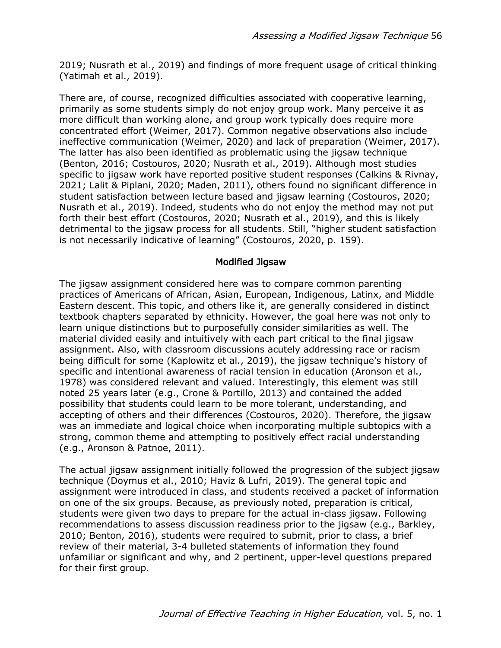2019; Nusrath et al., 2019) and findings of more frequent usage of critical thinking (Yatimah et al., 2019).

There are, of course, recognized difficulties associated with cooperative learning, primarily as some students simply do not enjoy group work. Many perceive it as more difficult than working alone, and group work typically does require more concentrated effort (Weimer, 2017). Common negative observations also include ineffective communication (Weimer, 2020) and lack of preparation (Weimer, 2017). The latter has also been identified as problematic using the jigsaw technique (Benton, 2016; Costouros, 2020; Nusrath et al., 2019). Although most studies specific to jigsaw work have reported positive student responses (Calkins & Rivnay, 2021; Lalit & Piplani, 2020; Maden, 2011), others found no significant difference in student satisfaction between lecture based and jigsaw learning (Costouros, 2020; Nusrath et al., 2019). Indeed, students who do not enjoy the method may not put forth their best effort (Costouros, 2020; Nusrath et al., 2019), and this is likely detrimental to the jigsaw process for all students. Still, "higher student satisfaction is not necessarily indicative of learning" (Costouros, 2020, p. 159).

### Modified Jigsaw

The jigsaw assignment considered here was to compare common parenting practices of Americans of African, Asian, European, Indigenous, Latinx, and Middle Eastern descent. This topic, and others like it, are generally considered in distinct textbook chapters separated by ethnicity. However, the goal here was not only to learn unique distinctions but to purposefully consider similarities as well. The material divided easily and intuitively with each part critical to the final jigsaw assignment. Also, with classroom discussions acutely addressing race or racism being difficult for some (Kaplowitz et al., 2019), the jigsaw technique's history of specific and intentional awareness of racial tension in education (Aronson et al., 1978) was considered relevant and valued. Interestingly, this element was still noted 25 years later (e.g., Crone & Portillo, 2013) and contained the added possibility that students could learn to be more tolerant, understanding, and accepting of others and their differences (Costouros, 2020). Therefore, the jigsaw was an immediate and logical choice when incorporating multiple subtopics with a strong, common theme and attempting to positively effect racial understanding (e.g., Aronson & Patnoe, 2011).

The actual jigsaw assignment initially followed the progression of the subject jigsaw technique (Doymus et al., 2010; Haviz & Lufri, 2019). The general topic and assignment were introduced in class, and students received a packet of information on one of the six groups. Because, as previously noted, preparation is critical, students were given two days to prepare for the actual in-class jigsaw. Following recommendations to assess discussion readiness prior to the jigsaw (e.g., Barkley, 2010; Benton, 2016), students were required to submit, prior to class, a brief review of their material, 3-4 bulleted statements of information they found unfamiliar or significant and why, and 2 pertinent, upper-level questions prepared for their first group.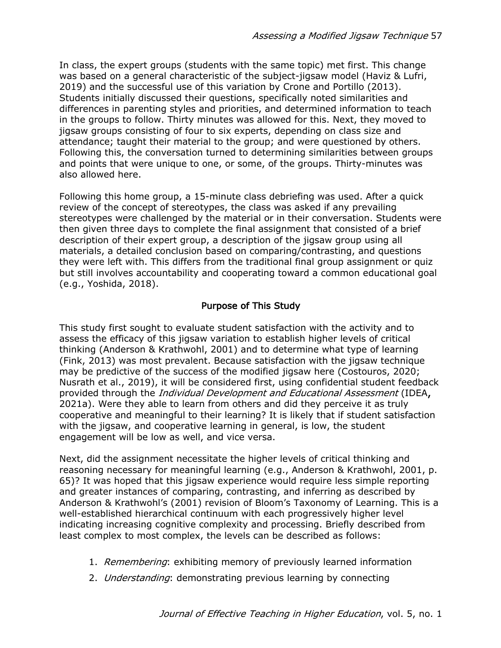In class, the expert groups (students with the same topic) met first. This change was based on a general characteristic of the subject-jigsaw model (Haviz & Lufri, 2019) and the successful use of this variation by Crone and Portillo (2013). Students initially discussed their questions, specifically noted similarities and differences in parenting styles and priorities, and determined information to teach in the groups to follow. Thirty minutes was allowed for this. Next, they moved to jigsaw groups consisting of four to six experts, depending on class size and attendance; taught their material to the group; and were questioned by others. Following this, the conversation turned to determining similarities between groups and points that were unique to one, or some, of the groups. Thirty-minutes was also allowed here.

Following this home group, a 15-minute class debriefing was used. After a quick review of the concept of stereotypes, the class was asked if any prevailing stereotypes were challenged by the material or in their conversation. Students were then given three days to complete the final assignment that consisted of a brief description of their expert group, a description of the jigsaw group using all materials, a detailed conclusion based on comparing/contrasting, and questions they were left with. This differs from the traditional final group assignment or quiz but still involves accountability and cooperating toward a common educational goal (e.g., Yoshida, 2018).

## Purpose of This Study

This study first sought to evaluate student satisfaction with the activity and to assess the efficacy of this jigsaw variation to establish higher levels of critical thinking (Anderson & Krathwohl, 2001) and to determine what type of learning (Fink, 2013) was most prevalent. Because satisfaction with the jigsaw technique may be predictive of the success of the modified jigsaw here (Costouros, 2020; Nusrath et al., 2019), it will be considered first, using confidential student feedback provided through the Individual Development and Educational Assessment (IDEA, 2021a). Were they able to learn from others and did they perceive it as truly cooperative and meaningful to their learning? It is likely that if student satisfaction with the jigsaw, and cooperative learning in general, is low, the student engagement will be low as well, and vice versa.

Next, did the assignment necessitate the higher levels of critical thinking and reasoning necessary for meaningful learning (e.g., Anderson & Krathwohl, 2001, p. 65)? It was hoped that this jigsaw experience would require less simple reporting and greater instances of comparing, contrasting, and inferring as described by Anderson & Krathwohl's (2001) revision of Bloom's Taxonomy of Learning. This is a well-established hierarchical continuum with each progressively higher level indicating increasing cognitive complexity and processing. Briefly described from least complex to most complex, the levels can be described as follows:

- 1. Remembering: exhibiting memory of previously learned information
- 2. Understanding: demonstrating previous learning by connecting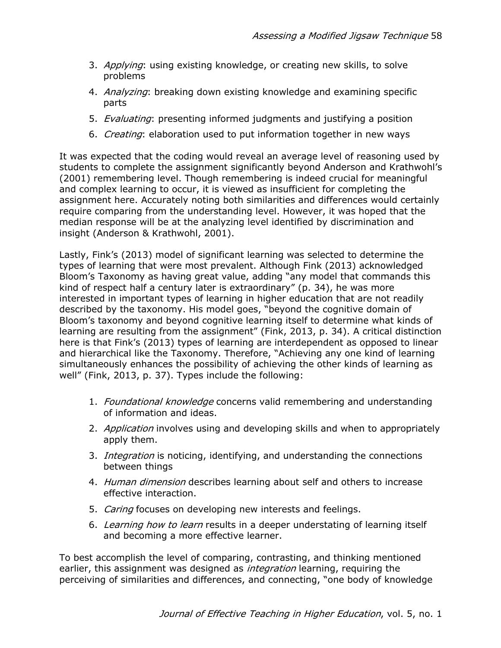- 3. Applying: using existing knowledge, or creating new skills, to solve problems
- 4. Analyzing: breaking down existing knowledge and examining specific parts
- 5. *Evaluating*: presenting informed judgments and justifying a position
- 6. Creating: elaboration used to put information together in new ways

It was expected that the coding would reveal an average level of reasoning used by students to complete the assignment significantly beyond Anderson and Krathwohl's (2001) remembering level. Though remembering is indeed crucial for meaningful and complex learning to occur, it is viewed as insufficient for completing the assignment here. Accurately noting both similarities and differences would certainly require comparing from the understanding level. However, it was hoped that the median response will be at the analyzing level identified by discrimination and insight (Anderson & Krathwohl, 2001).

Lastly, Fink's (2013) model of significant learning was selected to determine the types of learning that were most prevalent. Although Fink (2013) acknowledged Bloom's Taxonomy as having great value, adding "any model that commands this kind of respect half a century later is extraordinary" (p. 34), he was more interested in important types of learning in higher education that are not readily described by the taxonomy. His model goes, "beyond the cognitive domain of Bloom's taxonomy and beyond cognitive learning itself to determine what kinds of learning are resulting from the assignment" (Fink, 2013, p. 34). A critical distinction here is that Fink's (2013) types of learning are interdependent as opposed to linear and hierarchical like the Taxonomy. Therefore, "Achieving any one kind of learning simultaneously enhances the possibility of achieving the other kinds of learning as well" (Fink, 2013, p. 37). Types include the following:

- 1. Foundational knowledge concerns valid remembering and understanding of information and ideas.
- 2. Application involves using and developing skills and when to appropriately apply them.
- 3. *Integration* is noticing, identifying, and understanding the connections between things
- 4. Human dimension describes learning about self and others to increase effective interaction.
- 5. Caring focuses on developing new interests and feelings.
- 6. Learning how to learn results in a deeper understating of learning itself and becoming a more effective learner.

To best accomplish the level of comparing, contrasting, and thinking mentioned earlier, this assignment was designed as *integration* learning, requiring the perceiving of similarities and differences, and connecting, "one body of knowledge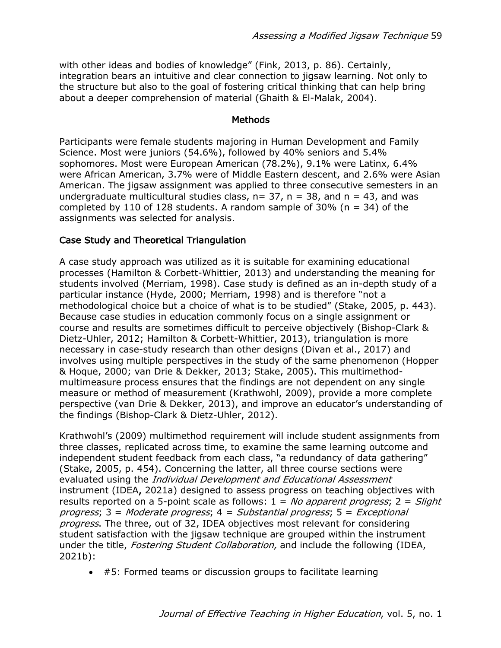with other ideas and bodies of knowledge" (Fink, 2013, p. 86). Certainly, integration bears an intuitive and clear connection to jigsaw learning. Not only to the structure but also to the goal of fostering critical thinking that can help bring about a deeper comprehension of material (Ghaith & El-Malak, 2004).

#### Methods

Participants were female students majoring in Human Development and Family Science. Most were juniors (54.6%), followed by 40% seniors and 5.4% sophomores. Most were European American (78.2%), 9.1% were Latinx, 6.4% were African American, 3.7% were of Middle Eastern descent, and 2.6% were Asian American. The jigsaw assignment was applied to three consecutive semesters in an undergraduate multicultural studies class,  $n= 37$ ,  $n = 38$ , and  $n = 43$ , and was completed by 110 of 128 students. A random sample of 30% ( $n = 34$ ) of the assignments was selected for analysis.

### Case Study and Theoretical Triangulation

A case study approach was utilized as it is suitable for examining educational processes (Hamilton & Corbett-Whittier, 2013) and understanding the meaning for students involved (Merriam, 1998). Case study is defined as an in-depth study of a particular instance (Hyde, 2000; Merriam, 1998) and is therefore "not a methodological choice but a choice of what is to be studied" (Stake, 2005, p. 443). Because case studies in education commonly focus on a single assignment or course and results are sometimes difficult to perceive objectively (Bishop-Clark & Dietz-Uhler, 2012; Hamilton & Corbett-Whittier, 2013), triangulation is more necessary in case-study research than other designs (Divan et al., 2017) and involves using multiple perspectives in the study of the same phenomenon (Hopper & Hoque, 2000; van Drie & Dekker, 2013; Stake, 2005). This multimethodmultimeasure process ensures that the findings are not dependent on any single measure or method of measurement (Krathwohl, 2009), provide a more complete perspective (van Drie & Dekker, 2013), and improve an educator's understanding of the findings (Bishop-Clark & Dietz-Uhler, 2012).

Krathwohl's (2009) multimethod requirement will include student assignments from three classes, replicated across time, to examine the same learning outcome and independent student feedback from each class, "a redundancy of data gathering" (Stake, 2005, p. 454). Concerning the latter, all three course sections were evaluated using the *Individual Development and Educational Assessment* instrument (IDEA, 2021a) designed to assess progress on teaching objectives with results reported on a 5-point scale as follows:  $1 = No$  apparent progress;  $2 = S^{i}$ progress;  $3 =$  Moderate progress;  $4 =$  Substantial progress;  $5 =$  Exceptional progress. The three, out of 32, IDEA objectives most relevant for considering student satisfaction with the jigsaw technique are grouped within the instrument under the title, *Fostering Student Collaboration*, and include the following (IDEA, 2021b):

• #5: Formed teams or discussion groups to facilitate learning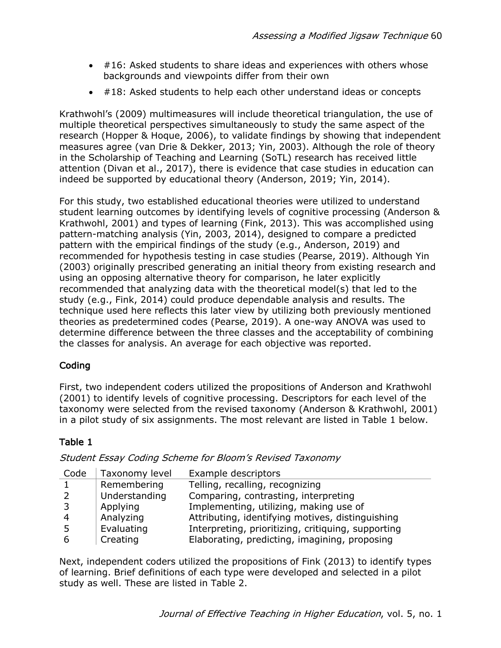- #16: Asked students to share ideas and experiences with others whose backgrounds and viewpoints differ from their own
- #18: Asked students to help each other understand ideas or concepts

Krathwohl's (2009) multimeasures will include theoretical triangulation, the use of multiple theoretical perspectives simultaneously to study the same aspect of the research (Hopper & Hoque, 2006), to validate findings by showing that independent measures agree (van Drie & Dekker, 2013; Yin, 2003). Although the role of theory in the Scholarship of Teaching and Learning (SoTL) research has received little attention (Divan et al., 2017), there is evidence that case studies in education can indeed be supported by educational theory (Anderson, 2019; Yin, 2014).

For this study, two established educational theories were utilized to understand student learning outcomes by identifying levels of cognitive processing (Anderson & Krathwohl, 2001) and types of learning (Fink, 2013). This was accomplished using pattern-matching analysis (Yin, 2003, 2014), designed to compare a predicted pattern with the empirical findings of the study (e.g., Anderson, 2019) and recommended for hypothesis testing in case studies (Pearse, 2019). Although Yin (2003) originally prescribed generating an initial theory from existing research and using an opposing alternative theory for comparison, he later explicitly recommended that analyzing data with the theoretical model(s) that led to the study (e.g., Fink, 2014) could produce dependable analysis and results. The technique used here reflects this later view by utilizing both previously mentioned theories as predetermined codes (Pearse, 2019). A one-way ANOVA was used to determine difference between the three classes and the acceptability of combining the classes for analysis. An average for each objective was reported.

# Coding

First, two independent coders utilized the propositions of Anderson and Krathwohl (2001) to identify levels of cognitive processing. Descriptors for each level of the taxonomy were selected from the revised taxonomy (Anderson & Krathwohl, 2001) in a pilot study of six assignments. The most relevant are listed in Table 1 below.

# Table 1

Student Essay Coding Scheme for Bloom's Revised Taxonomy

| Code | Taxonomy level | Example descriptors                                |
|------|----------------|----------------------------------------------------|
|      | Remembering    | Telling, recalling, recognizing                    |
|      | Understanding  | Comparing, contrasting, interpreting               |
|      | Applying       | Implementing, utilizing, making use of             |
| 4    | Analyzing      | Attributing, identifying motives, distinguishing   |
|      | Evaluating     | Interpreting, prioritizing, critiquing, supporting |
|      | Creating       | Elaborating, predicting, imagining, proposing      |

Next, independent coders utilized the propositions of Fink (2013) to identify types of learning. Brief definitions of each type were developed and selected in a pilot study as well. These are listed in Table 2.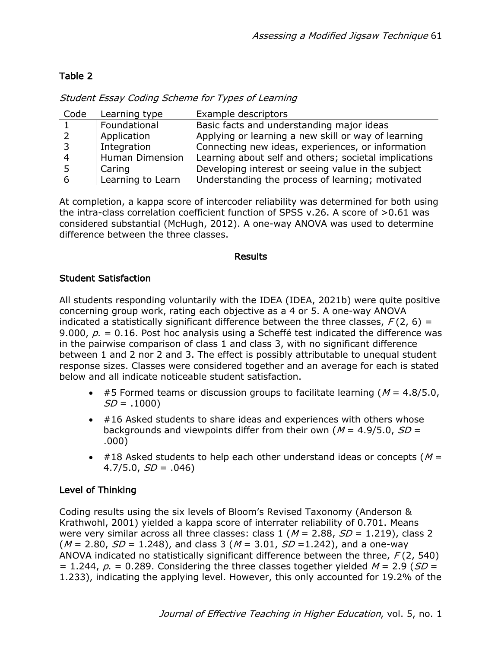# Table 2

| Student Essay Coding Scheme for Types of Learning |  |  |  |  |
|---------------------------------------------------|--|--|--|--|
|                                                   |  |  |  |  |

| Code                    | Learning type          | Example descriptors                                   |
|-------------------------|------------------------|-------------------------------------------------------|
| $\mathbf{1}$            | Foundational           | Basic facts and understanding major ideas             |
| <sup>2</sup>            | Application            | Applying or learning a new skill or way of learning   |
| $\overline{\mathbf{3}}$ | Integration            | Connecting new ideas, experiences, or information     |
| $\overline{4}$          | <b>Human Dimension</b> | Learning about self and others; societal implications |
| -5                      | Caring                 | Developing interest or seeing value in the subject    |
| 6                       | Learning to Learn      | Understanding the process of learning; motivated      |

At completion, a kappa score of intercoder reliability was determined for both using the intra-class correlation coefficient function of SPSS v.26. A score of >0.61 was considered substantial (McHugh, 2012). A one-way ANOVA was used to determine difference between the three classes.

#### Results

## Student Satisfaction

All students responding voluntarily with the IDEA (IDEA, 2021b) were quite positive concerning group work, rating each objective as a 4 or 5. A one-way ANOVA indicated a statistically significant difference between the three classes,  $F(2, 6) =$ 9.000,  $p = 0.16$ . Post hoc analysis using a Scheffé test indicated the difference was in the pairwise comparison of class 1 and class 3, with no significant difference between 1 and 2 nor 2 and 3. The effect is possibly attributable to unequal student response sizes. Classes were considered together and an average for each is stated below and all indicate noticeable student satisfaction.

- #5 Formed teams or discussion groups to facilitate learning ( $M = 4.8/5.0$ ,  $SD = .1000$
- #16 Asked students to share ideas and experiences with others whose backgrounds and viewpoints differ from their own ( $M = 4.9/5.0$ ,  $SD =$ .000)
- $\bullet$  #18 Asked students to help each other understand ideas or concepts ( $M =$  $4.7/5.0, SD = .046$

# Level of Thinking

Coding results using the six levels of Bloom's Revised Taxonomy (Anderson & Krathwohl, 2001) yielded a kappa score of interrater reliability of 0.701. Means were very similar across all three classes: class  $1 (M = 2.88, SD = 1.219)$ , class 2  $(M = 2.80, SD = 1.248)$ , and class 3  $(M = 3.01, SD = 1.242)$ , and a one-way ANOVA indicated no statistically significant difference between the three,  $F(2, 540)$ = 1.244,  $p = 0.289$ . Considering the three classes together yielded  $M = 2.9$  (SD = 1.233), indicating the applying level. However, this only accounted for 19.2% of the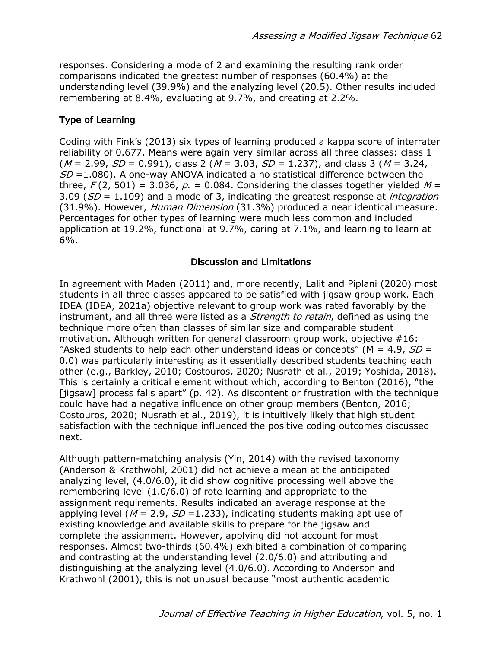responses. Considering a mode of 2 and examining the resulting rank order comparisons indicated the greatest number of responses (60.4%) at the understanding level (39.9%) and the analyzing level (20.5). Other results included remembering at 8.4%, evaluating at 9.7%, and creating at 2.2%.

## Type of Learning

Coding with Fink's (2013) six types of learning produced a kappa score of interrater reliability of 0.677. Means were again very similar across all three classes: class 1  $(M = 2.99, SD = 0.991)$ , class 2 ( $M = 3.03$ ,  $SD = 1.237$ ), and class 3 ( $M = 3.24$ ,  $SD = 1.080$ ). A one-way ANOVA indicated a no statistical difference between the three,  $F(2, 501) = 3.036$ ,  $p = 0.084$ . Considering the classes together yielded  $M =$ 3.09 ( $SD = 1.109$ ) and a mode of 3, indicating the greatest response at *integration* (31.9%). However, Human Dimension (31.3%) produced a near identical measure. Percentages for other types of learning were much less common and included application at 19.2%, functional at 9.7%, caring at 7.1%, and learning to learn at 6%.

### Discussion and Limitations

In agreement with Maden (2011) and, more recently, Lalit and Piplani (2020) most students in all three classes appeared to be satisfied with jigsaw group work. Each IDEA (IDEA, 2021a) objective relevant to group work was rated favorably by the instrument, and all three were listed as a *Strength to retain*, defined as using the technique more often than classes of similar size and comparable student motivation. Although written for general classroom group work, objective #16: "Asked students to help each other understand ideas or concepts" ( $M = 4.9$ ,  $SD =$ 0.0) was particularly interesting as it essentially described students teaching each other (e.g., Barkley, 2010; Costouros, 2020; Nusrath et al., 2019; Yoshida, 2018). This is certainly a critical element without which, according to Benton (2016), "the [jigsaw] process falls apart" (p. 42). As discontent or frustration with the technique could have had a negative influence on other group members (Benton, 2016; Costouros, 2020; Nusrath et al., 2019), it is intuitively likely that high student satisfaction with the technique influenced the positive coding outcomes discussed next.

Although pattern-matching analysis (Yin, 2014) with the revised taxonomy (Anderson & Krathwohl, 2001) did not achieve a mean at the anticipated analyzing level, (4.0/6.0), it did show cognitive processing well above the remembering level (1.0/6.0) of rote learning and appropriate to the assignment requirements. Results indicated an average response at the applying level ( $M = 2.9$ ,  $SD = 1.233$ ), indicating students making apt use of existing knowledge and available skills to prepare for the jigsaw and complete the assignment. However, applying did not account for most responses. Almost two-thirds (60.4%) exhibited a combination of comparing and contrasting at the understanding level (2.0/6.0) and attributing and distinguishing at the analyzing level (4.0/6.0). According to Anderson and Krathwohl (2001), this is not unusual because "most authentic academic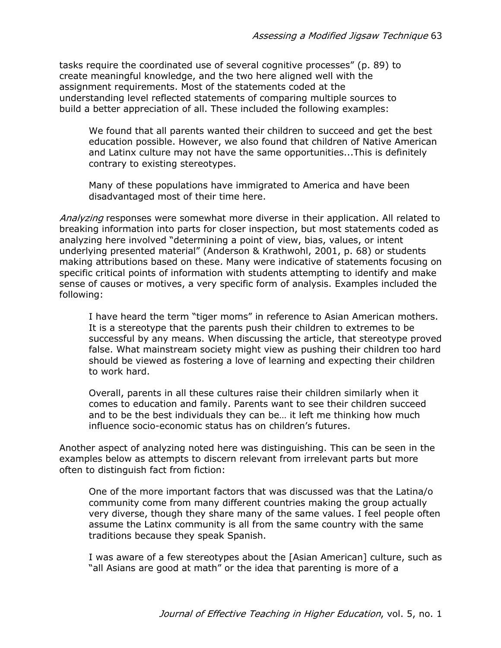tasks require the coordinated use of several cognitive processes" (p. 89) to create meaningful knowledge, and the two here aligned well with the assignment requirements. Most of the statements coded at the understanding level reflected statements of comparing multiple sources to build a better appreciation of all. These included the following examples:

We found that all parents wanted their children to succeed and get the best education possible. However, we also found that children of Native American and Latinx culture may not have the same opportunities...This is definitely contrary to existing stereotypes.

Many of these populations have immigrated to America and have been disadvantaged most of their time here.

Analyzing responses were somewhat more diverse in their application. All related to breaking information into parts for closer inspection, but most statements coded as analyzing here involved "determining a point of view, bias, values, or intent underlying presented material" (Anderson & Krathwohl, 2001, p. 68) or students making attributions based on these. Many were indicative of statements focusing on specific critical points of information with students attempting to identify and make sense of causes or motives, a very specific form of analysis. Examples included the following:

I have heard the term "tiger moms" in reference to Asian American mothers. It is a stereotype that the parents push their children to extremes to be successful by any means. When discussing the article, that stereotype proved false. What mainstream society might view as pushing their children too hard should be viewed as fostering a love of learning and expecting their children to work hard.

Overall, parents in all these cultures raise their children similarly when it comes to education and family. Parents want to see their children succeed and to be the best individuals they can be… it left me thinking how much influence socio-economic status has on children's futures.

Another aspect of analyzing noted here was distinguishing. This can be seen in the examples below as attempts to discern relevant from irrelevant parts but more often to distinguish fact from fiction:

One of the more important factors that was discussed was that the Latina/o community come from many different countries making the group actually very diverse, though they share many of the same values. I feel people often assume the Latinx community is all from the same country with the same traditions because they speak Spanish.

I was aware of a few stereotypes about the [Asian American] culture, such as "all Asians are good at math" or the idea that parenting is more of a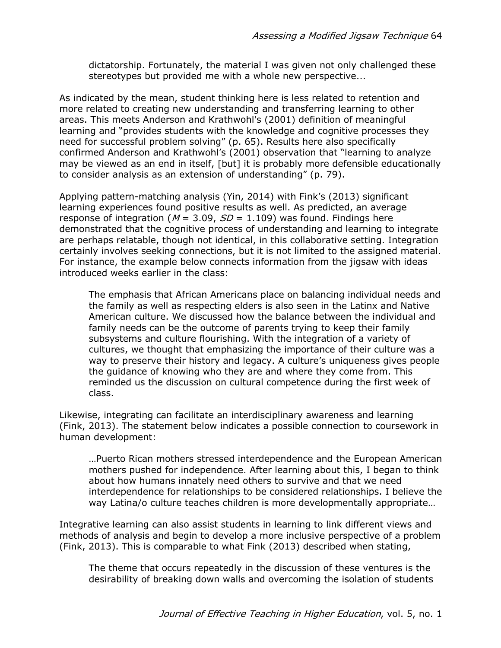dictatorship. Fortunately, the material I was given not only challenged these stereotypes but provided me with a whole new perspective...

As indicated by the mean, student thinking here is less related to retention and more related to creating new understanding and transferring learning to other areas. This meets Anderson and Krathwohl's (2001) definition of meaningful learning and "provides students with the knowledge and cognitive processes they need for successful problem solving" (p. 65). Results here also specifically confirmed Anderson and Krathwohl's (2001) observation that "learning to analyze may be viewed as an end in itself, [but] it is probably more defensible educationally to consider analysis as an extension of understanding" (p. 79).

Applying pattern-matching analysis (Yin, 2014) with Fink's (2013) significant learning experiences found positive results as well. As predicted, an average response of integration ( $M = 3.09$ ,  $SD = 1.109$ ) was found. Findings here demonstrated that the cognitive process of understanding and learning to integrate are perhaps relatable, though not identical, in this collaborative setting. Integration certainly involves seeking connections, but it is not limited to the assigned material. For instance, the example below connects information from the jigsaw with ideas introduced weeks earlier in the class:

The emphasis that African Americans place on balancing individual needs and the family as well as respecting elders is also seen in the Latinx and Native American culture. We discussed how the balance between the individual and family needs can be the outcome of parents trying to keep their family subsystems and culture flourishing. With the integration of a variety of cultures, we thought that emphasizing the importance of their culture was a way to preserve their history and legacy. A culture's uniqueness gives people the guidance of knowing who they are and where they come from. This reminded us the discussion on cultural competence during the first week of class.

Likewise, integrating can facilitate an interdisciplinary awareness and learning (Fink, 2013). The statement below indicates a possible connection to coursework in human development:

…Puerto Rican mothers stressed interdependence and the European American mothers pushed for independence. After learning about this, I began to think about how humans innately need others to survive and that we need interdependence for relationships to be considered relationships. I believe the way Latina/o culture teaches children is more developmentally appropriate…

Integrative learning can also assist students in learning to link different views and methods of analysis and begin to develop a more inclusive perspective of a problem (Fink, 2013). This is comparable to what Fink (2013) described when stating,

The theme that occurs repeatedly in the discussion of these ventures is the desirability of breaking down walls and overcoming the isolation of students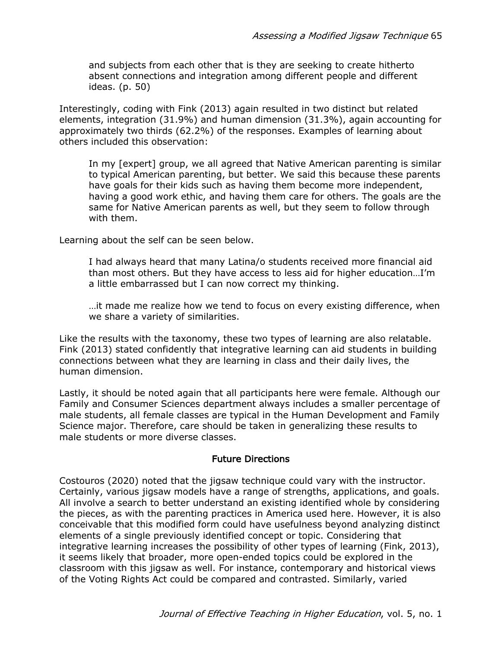and subjects from each other that is they are seeking to create hitherto absent connections and integration among different people and different ideas. (p. 50)

Interestingly, coding with Fink (2013) again resulted in two distinct but related elements, integration (31.9%) and human dimension (31.3%), again accounting for approximately two thirds (62.2%) of the responses. Examples of learning about others included this observation:

In my [expert] group, we all agreed that Native American parenting is similar to typical American parenting, but better. We said this because these parents have goals for their kids such as having them become more independent, having a good work ethic, and having them care for others. The goals are the same for Native American parents as well, but they seem to follow through with them.

Learning about the self can be seen below.

I had always heard that many Latina/o students received more financial aid than most others. But they have access to less aid for higher education…I'm a little embarrassed but I can now correct my thinking.

…it made me realize how we tend to focus on every existing difference, when we share a variety of similarities.

Like the results with the taxonomy, these two types of learning are also relatable. Fink (2013) stated confidently that integrative learning can aid students in building connections between what they are learning in class and their daily lives, the human dimension.

Lastly, it should be noted again that all participants here were female. Although our Family and Consumer Sciences department always includes a smaller percentage of male students, all female classes are typical in the Human Development and Family Science major. Therefore, care should be taken in generalizing these results to male students or more diverse classes.

#### Future Directions

Costouros (2020) noted that the jigsaw technique could vary with the instructor. Certainly, various jigsaw models have a range of strengths, applications, and goals. All involve a search to better understand an existing identified whole by considering the pieces, as with the parenting practices in America used here. However, it is also conceivable that this modified form could have usefulness beyond analyzing distinct elements of a single previously identified concept or topic. Considering that integrative learning increases the possibility of other types of learning (Fink, 2013), it seems likely that broader, more open-ended topics could be explored in the classroom with this jigsaw as well. For instance, contemporary and historical views of the Voting Rights Act could be compared and contrasted. Similarly, varied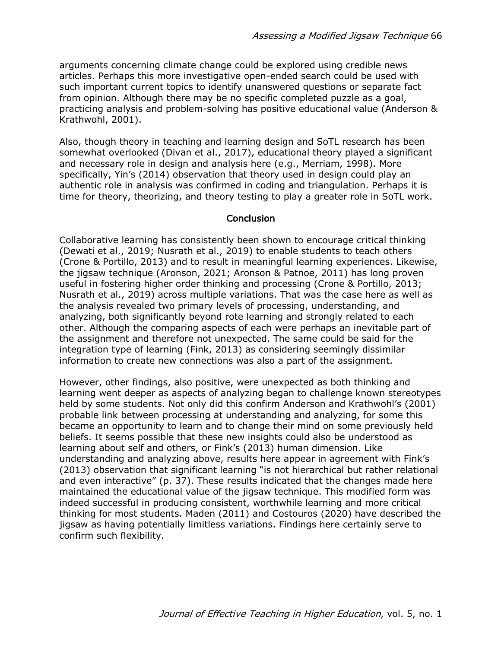arguments concerning climate change could be explored using credible news articles. Perhaps this more investigative open-ended search could be used with such important current topics to identify unanswered questions or separate fact from opinion. Although there may be no specific completed puzzle as a goal, practicing analysis and problem-solving has positive educational value (Anderson & Krathwohl, 2001).

Also, though theory in teaching and learning design and SoTL research has been somewhat overlooked (Divan et al., 2017), educational theory played a significant and necessary role in design and analysis here (e.g., Merriam, 1998). More specifically, Yin's (2014) observation that theory used in design could play an authentic role in analysis was confirmed in coding and triangulation. Perhaps it is time for theory, theorizing, and theory testing to play a greater role in SoTL work.

#### **Conclusion**

Collaborative learning has consistently been shown to encourage critical thinking (Dewati et al., 2019; Nusrath et al., 2019) to enable students to teach others (Crone & Portillo, 2013) and to result in meaningful learning experiences. Likewise, the jigsaw technique (Aronson, 2021; Aronson & Patnoe, 2011) has long proven useful in fostering higher order thinking and processing (Crone & Portillo, 2013; Nusrath et al., 2019) across multiple variations. That was the case here as well as the analysis revealed two primary levels of processing, understanding, and analyzing, both significantly beyond rote learning and strongly related to each other. Although the comparing aspects of each were perhaps an inevitable part of the assignment and therefore not unexpected. The same could be said for the integration type of learning (Fink, 2013) as considering seemingly dissimilar information to create new connections was also a part of the assignment.

However, other findings, also positive, were unexpected as both thinking and learning went deeper as aspects of analyzing began to challenge known stereotypes held by some students. Not only did this confirm Anderson and Krathwohl's (2001) probable link between processing at understanding and analyzing, for some this became an opportunity to learn and to change their mind on some previously held beliefs. It seems possible that these new insights could also be understood as learning about self and others, or Fink's (2013) human dimension. Like understanding and analyzing above, results here appear in agreement with Fink's (2013) observation that significant learning "is not hierarchical but rather relational and even interactive" (p. 37). These results indicated that the changes made here maintained the educational value of the jigsaw technique. This modified form was indeed successful in producing consistent, worthwhile learning and more critical thinking for most students. Maden (2011) and Costouros (2020) have described the jigsaw as having potentially limitless variations. Findings here certainly serve to confirm such flexibility.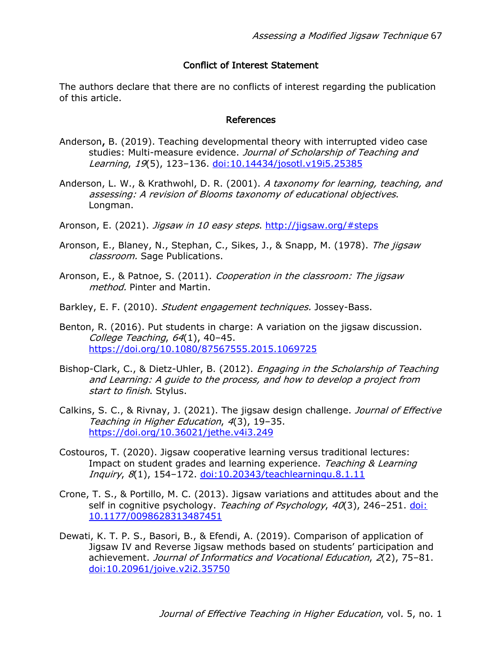#### Conflict of Interest Statement

The authors declare that there are no conflicts of interest regarding the publication of this article.

#### References

- Anderson, B. (2019). Teaching developmental theory with interrupted video case studies: Multi-measure evidence. Journal of Scholarship of Teaching and Learning, 19(5), 123-136. doi:10.14434/josotl.v19i5.25385
- Anderson, L. W., & Krathwohl, D. R. (2001). A taxonomy for learning, teaching, and assessing: A revision of Blooms taxonomy of educational objectives. Longman.
- Aronson, E. (2021). *Jigsaw in 10 easy steps*. http://jigsaw.org/#steps
- Aronson, E., Blaney, N., Stephan, C., Sikes, J., & Snapp, M. (1978). The jigsaw classroom. Sage Publications.
- Aronson, E., & Patnoe, S. (2011). Cooperation in the classroom: The jigsaw method. Pinter and Martin.
- Barkley, E. F. (2010). Student engagement techniques. Jossey-Bass.
- Benton, R. (2016). Put students in charge: A variation on the jigsaw discussion. College Teaching, 64(1), 40–45. https://doi.org/10.1080/87567555.2015.1069725
- Bishop-Clark, C., & Dietz-Uhler, B. (2012). Engaging in the Scholarship of Teaching and Learning: A guide to the process, and how to develop a project from start to finish. Stylus.
- Calkins, S. C., & Rivnay, J. (2021). The jigsaw design challenge. *Journal of Effective* Teaching in Higher Education, 4(3), 19–35. https://doi.org/10.36021/jethe.v4i3.249
- Costouros, T. (2020). Jigsaw cooperative learning versus traditional lectures: Impact on student grades and learning experience. Teaching & Learning Inquiry, 8(1), 154–172. doi:10.20343/teachlearninqu.8.1.11
- Crone, T. S., & Portillo, M. C. (2013). Jigsaw variations and attitudes about and the self in cognitive psychology. Teaching of Psychology, 40(3), 246-251. doi: 10.1177/0098628313487451
- Dewati, K. T. P. S., Basori, B., & Efendi, A. (2019). Comparison of application of Jigsaw IV and Reverse Jigsaw methods based on students' participation and achievement. Journal of Informatics and Vocational Education, 2(2), 75–81. doi:10.20961/joive.v2i2.35750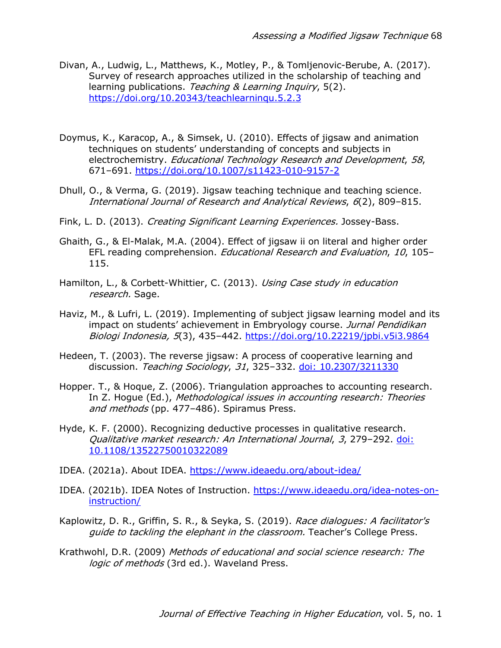- Divan, A., Ludwig, L., Matthews, K., Motley, P., & Tomljenovic-Berube, A. (2017). Survey of research approaches utilized in the scholarship of teaching and learning publications. Teaching & Learning Inquiry, 5(2). https://doi.org/10.20343/teachlearninqu.5.2.3
- Doymus, K., Karacop, A., & Simsek, U. (2010). Effects of jigsaw and animation techniques on students' understanding of concepts and subjects in electrochemistry. Educational Technology Research and Development, 58, 671–691. https://doi.org/10.1007/s11423-010-9157-2
- Dhull, O., & Verma, G. (2019). Jigsaw teaching technique and teaching science. International Journal of Research and Analytical Reviews, 6(2), 809–815.
- Fink, L. D. (2013). Creating Significant Learning Experiences. Jossey-Bass.
- Ghaith, G., & El-Malak, M.A. (2004). Effect of jigsaw ii on literal and higher order EFL reading comprehension. Educational Research and Evaluation, 10, 105– 115.
- Hamilton, L., & Corbett-Whittier, C. (2013). Using Case study in education research. Sage.
- Haviz, M., & Lufri, L. (2019). Implementing of subject jigsaw learning model and its impact on students' achievement in Embryology course. Jurnal Pendidikan Biologi Indonesia, 5(3), 435–442. https://doi.org/10.22219/jpbi.v5i3.9864
- Hedeen, T. (2003). The reverse jigsaw: A process of cooperative learning and discussion. Teaching Sociology, 31, 325–332. doi: 10.2307/3211330
- Hopper. T., & Hoque, Z. (2006). Triangulation approaches to accounting research. In Z. Hogue (Ed.), Methodological issues in accounting research: Theories and methods (pp. 477–486). Spiramus Press.
- Hyde, K. F. (2000). Recognizing deductive processes in qualitative research. Qualitative market research: An International Journal, 3, 279–292. doi: 10.1108/13522750010322089
- IDEA. (2021a). About IDEA. https://www.ideaedu.org/about-idea/
- IDEA. (2021b). IDEA Notes of Instruction. https://www.ideaedu.org/idea-notes-oninstruction/
- Kaplowitz, D. R., Griffin, S. R., & Seyka, S. (2019). Race dialogues: A facilitator's guide to tackling the elephant in the classroom. Teacher's College Press.
- Krathwohl, D.R. (2009) Methods of educational and social science research: The logic of methods (3rd ed.). Waveland Press.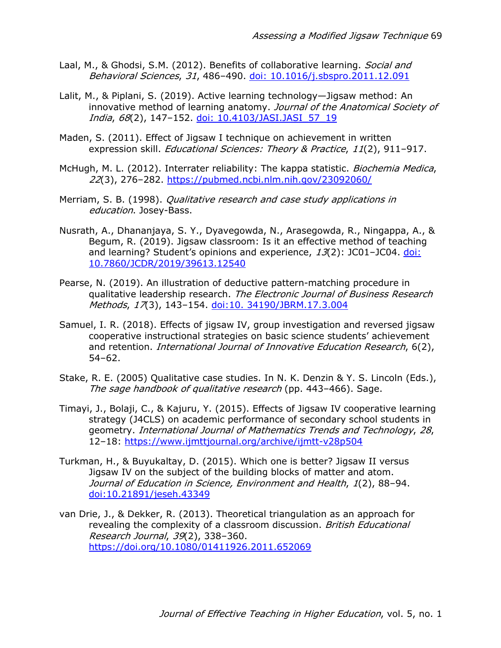- Laal, M., & Ghodsi, S.M. (2012). Benefits of collaborative learning. Social and Behavioral Sciences, 31, 486–490. doi: 10.1016/j.sbspro.2011.12.091
- Lalit, M., & Piplani, S. (2019). Active learning technology—Jigsaw method: An innovative method of learning anatomy. Journal of the Anatomical Society of India, 68(2), 147–152. doi: 10.4103/JASI.JASI\_57\_19
- Maden, S. (2011). Effect of Jigsaw I technique on achievement in written expression skill. *Educational Sciences: Theory & Practice*, 11(2), 911-917.
- McHugh, M. L. (2012). Interrater reliability: The kappa statistic. *Biochemia Medica*, 22(3), 276–282. https://pubmed.ncbi.nlm.nih.gov/23092060/
- Merriam, S. B. (1998). *Qualitative research and case study applications in* education. Josey-Bass.
- Nusrath, A., Dhananjaya, S. Y., Dyavegowda, N., Arasegowda, R., Ningappa, A., & Begum, R. (2019). Jigsaw classroom: Is it an effective method of teaching and learning? Student's opinions and experience,  $13(2)$ : JC01-JC04. doi: 10.7860/JCDR/2019/39613.12540
- Pearse, N. (2019). An illustration of deductive pattern-matching procedure in qualitative leadership research. The Electronic Journal of Business Research Methods, 17(3), 143-154. doi:10. 34190/JBRM.17.3.004
- Samuel, I. R. (2018). Effects of jigsaw IV, group investigation and reversed jigsaw cooperative instructional strategies on basic science students' achievement and retention. International Journal of Innovative Education Research, 6(2), 54–62.
- Stake, R. E. (2005) Qualitative case studies. In N. K. Denzin & Y. S. Lincoln (Eds.), The sage handbook of qualitative research (pp. 443-466). Sage.
- Timayi, J., Bolaji, C., & Kajuru, Y. (2015). Effects of Jigsaw IV cooperative learning strategy (J4CLS) on academic performance of secondary school students in geometry. International Journal of Mathematics Trends and Technology, 28, 12–18: https://www.ijmttjournal.org/archive/ijmtt-v28p504
- Turkman, H., & Buyukaltay, D. (2015). Which one is better? Jigsaw II versus Jigsaw IV on the subject of the building blocks of matter and atom. Journal of Education in Science, Environment and Health, 1(2), 88–94. doi:10.21891/jeseh.43349
- van Drie, J., & Dekker, R. (2013). Theoretical triangulation as an approach for revealing the complexity of a classroom discussion. British Educational Research Journal, 39(2), 338–360. https://doi.org/10.1080/01411926.2011.652069